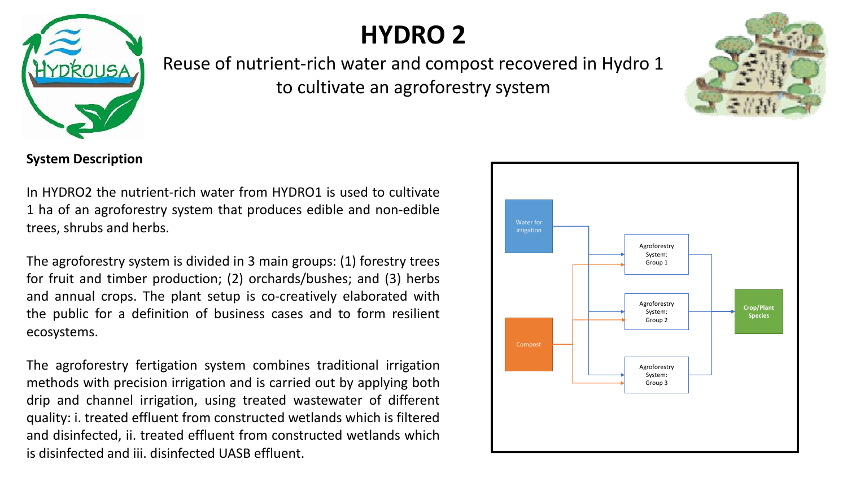

## **HYDRO 2**

Reuse of nutrient-rich water and compost recovered in Hydro 1 to cultivate an agroforestry system

**System Description**

In HYDRO2 the nutrient-rich water from HYDRO1 is used to cultivate 1 ha of an agroforestry system that produces edible and non-edible trees, shrubs and herbs.

The agroforestry system is divided in 3 main groups: (1) forestry trees for fruit and timber production; (2) orchards/bushes; and (3) herbs and annual crops. The plant setup is co-creatively elaborated with the public for a definition of business cases and to form resilient ecosystems.

The agroforestry fertigation system combines traditional irrigation methods with precision irrigation and is carried out by applying both drip and channel irrigation, using treated wastewater of different quality: i. treated effluent from constructed wetlands which is filtered and disinfected, ii. treated effluent from constructed wetlands which is disinfected and iii. disinfected UASB effluent.

Water for irrigation



Compost